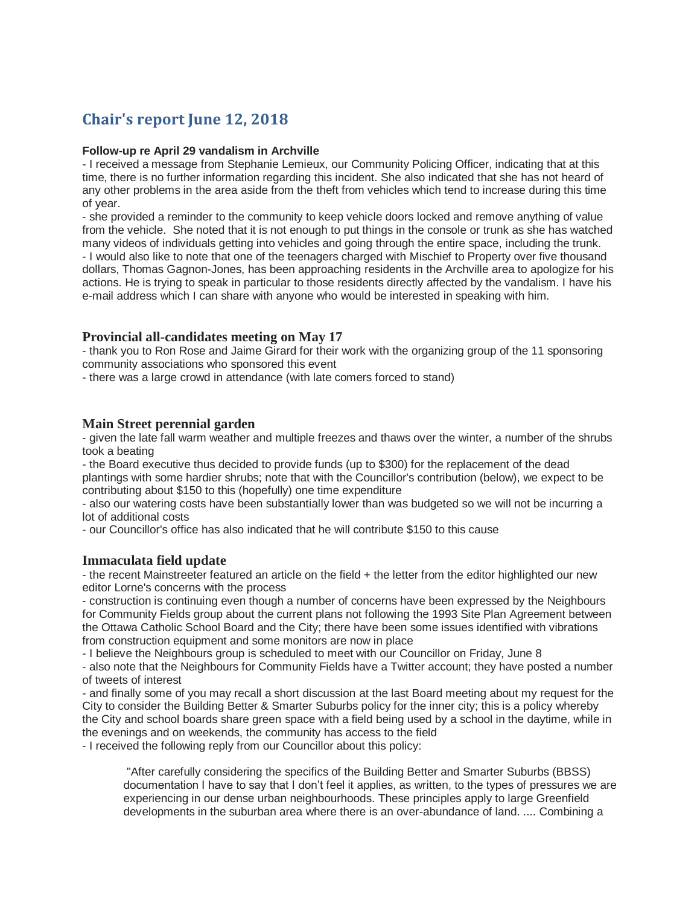# **Chair's report June 12, 2018**

## **Follow-up re April 29 vandalism in Archville**

- I received a message from Stephanie Lemieux, our Community Policing Officer, indicating that at this time, there is no further information regarding this incident. She also indicated that she has not heard of any other problems in the area aside from the theft from vehicles which tend to increase during this time of year.

- she provided a reminder to the community to keep vehicle doors locked and remove anything of value from the vehicle. She noted that it is not enough to put things in the console or trunk as she has watched many videos of individuals getting into vehicles and going through the entire space, including the trunk. - I would also like to note that one of the teenagers charged with Mischief to Property over five thousand dollars, Thomas Gagnon-Jones, has been approaching residents in the Archville area to apologize for his actions. He is trying to speak in particular to those residents directly affected by the vandalism. I have his e-mail address which I can share with anyone who would be interested in speaking with him.

# **Provincial all-candidates meeting on May 17**

- thank you to Ron Rose and Jaime Girard for their work with the organizing group of the 11 sponsoring community associations who sponsored this event

- there was a large crowd in attendance (with late comers forced to stand)

# **Main Street perennial garden**

- given the late fall warm weather and multiple freezes and thaws over the winter, a number of the shrubs took a beating

- the Board executive thus decided to provide funds (up to \$300) for the replacement of the dead plantings with some hardier shrubs; note that with the Councillor's contribution (below), we expect to be contributing about \$150 to this (hopefully) one time expenditure

- also our watering costs have been substantially lower than was budgeted so we will not be incurring a lot of additional costs

- our Councillor's office has also indicated that he will contribute \$150 to this cause

# **Immaculata field update**

- the recent Mainstreeter featured an article on the field + the letter from the editor highlighted our new editor Lorne's concerns with the process

- construction is continuing even though a number of concerns have been expressed by the Neighbours for Community Fields group about the current plans not following the 1993 Site Plan Agreement between the Ottawa Catholic School Board and the City; there have been some issues identified with vibrations from construction equipment and some monitors are now in place

- I believe the Neighbours group is scheduled to meet with our Councillor on Friday, June 8

- also note that the Neighbours for Community Fields have a Twitter account; they have posted a number of tweets of interest

- and finally some of you may recall a short discussion at the last Board meeting about my request for the City to consider the Building Better & Smarter Suburbs policy for the inner city; this is a policy whereby the City and school boards share green space with a field being used by a school in the daytime, while in the evenings and on weekends, the community has access to the field

- I received the following reply from our Councillor about this policy:

"After carefully considering the specifics of the Building Better and Smarter Suburbs (BBSS) documentation I have to say that I don't feel it applies, as written, to the types of pressures we are experiencing in our dense urban neighbourhoods. These principles apply to large Greenfield developments in the suburban area where there is an over-abundance of land. .... Combining a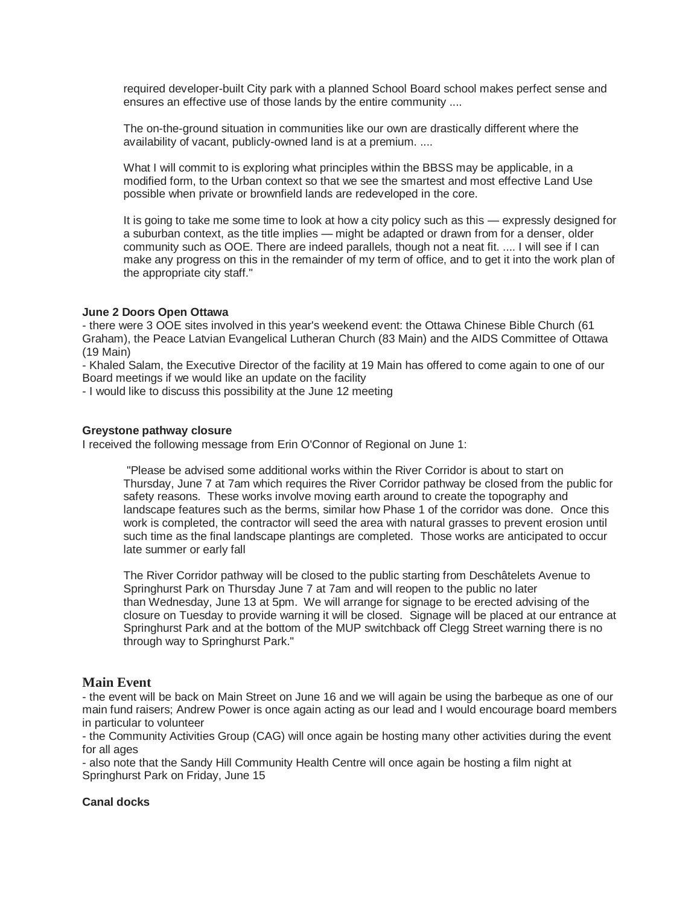required developer-built City park with a planned School Board school makes perfect sense and ensures an effective use of those lands by the entire community ....

The on-the-ground situation in communities like our own are drastically different where the availability of vacant, publicly-owned land is at a premium. ....

What I will commit to is exploring what principles within the BBSS may be applicable, in a modified form, to the Urban context so that we see the smartest and most effective Land Use possible when private or brownfield lands are redeveloped in the core.

It is going to take me some time to look at how a city policy such as this — expressly designed for a suburban context, as the title implies — might be adapted or drawn from for a denser, older community such as OOE. There are indeed parallels, though not a neat fit. .... I will see if I can make any progress on this in the remainder of my term of office, and to get it into the work plan of the appropriate city staff."

## **June 2 Doors Open Ottawa**

- there were 3 OOE sites involved in this year's weekend event: the Ottawa Chinese Bible Church (61 Graham), the Peace Latvian Evangelical Lutheran Church (83 Main) and the AIDS Committee of Ottawa (19 Main)

- Khaled Salam, the Executive Director of the facility at 19 Main has offered to come again to one of our Board meetings if we would like an update on the facility

- I would like to discuss this possibility at the June 12 meeting

## **Greystone pathway closure**

I received the following message from Erin O'Connor of Regional on June 1:

"Please be advised some additional works within the River Corridor is about to start on Thursday, June 7 at 7am which requires the River Corridor pathway be closed from the public for safety reasons. These works involve moving earth around to create the topography and landscape features such as the berms, similar how Phase 1 of the corridor was done. Once this work is completed, the contractor will seed the area with natural grasses to prevent erosion until such time as the final landscape plantings are completed. Those works are anticipated to occur late summer or early fall

The River Corridor pathway will be closed to the public starting from Deschâtelets Avenue to Springhurst Park on Thursday June 7 at 7am and will reopen to the public no later than Wednesday, June 13 at 5pm. We will arrange for signage to be erected advising of the closure on Tuesday to provide warning it will be closed. Signage will be placed at our entrance at Springhurst Park and at the bottom of the MUP switchback off Clegg Street warning there is no through way to Springhurst Park."

## **Main Event**

- the event will be back on Main Street on June 16 and we will again be using the barbeque as one of our main fund raisers; Andrew Power is once again acting as our lead and I would encourage board members in particular to volunteer

- the Community Activities Group (CAG) will once again be hosting many other activities during the event for all ages

- also note that the Sandy Hill Community Health Centre will once again be hosting a film night at Springhurst Park on Friday, June 15

## **Canal docks**